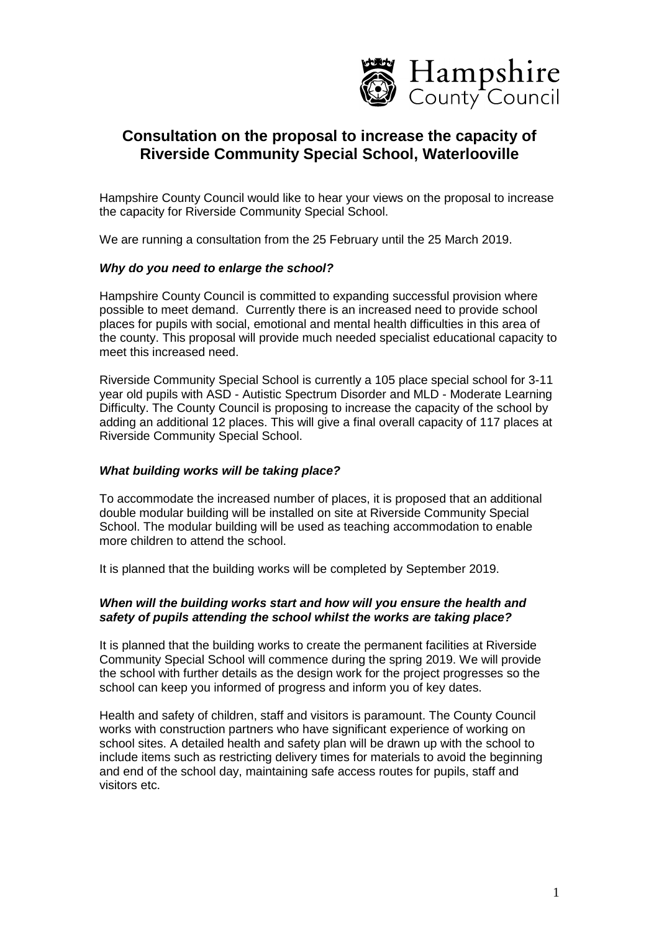

# **Consultation on the proposal to increase the capacity of Riverside Community Special School, Waterlooville**

Hampshire County Council would like to hear your views on the proposal to increase the capacity for Riverside Community Special School.

We are running a consultation from the 25 February until the 25 March 2019.

## *Why do you need to enlarge the school?*

Hampshire County Council is committed to expanding successful provision where possible to meet demand. Currently there is an increased need to provide school places for pupils with social, emotional and mental health difficulties in this area of the county. This proposal will provide much needed specialist educational capacity to meet this increased need.

Riverside Community Special School is currently a 105 place special school for 3-11 year old pupils with ASD - Autistic Spectrum Disorder and MLD - Moderate Learning Difficulty. The County Council is proposing to increase the capacity of the school by adding an additional 12 places. This will give a final overall capacity of 117 places at Riverside Community Special School.

#### *What building works will be taking place?*

To accommodate the increased number of places, it is proposed that an additional double modular building will be installed on site at Riverside Community Special School. The modular building will be used as teaching accommodation to enable more children to attend the school.

It is planned that the building works will be completed by September 2019.

## *When will the building works start and how will you ensure the health and safety of pupils attending the school whilst the works are taking place?*

It is planned that the building works to create the permanent facilities at Riverside Community Special School will commence during the spring 2019. We will provide the school with further details as the design work for the project progresses so the school can keep you informed of progress and inform you of key dates.

Health and safety of children, staff and visitors is paramount. The County Council works with construction partners who have significant experience of working on school sites. A detailed health and safety plan will be drawn up with the school to include items such as restricting delivery times for materials to avoid the beginning and end of the school day, maintaining safe access routes for pupils, staff and visitors etc.